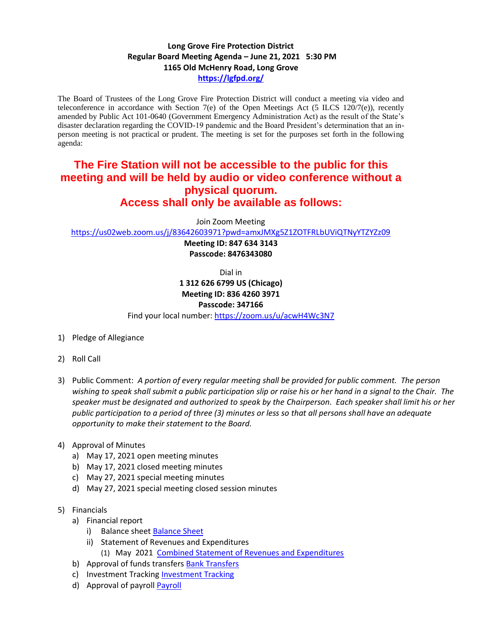## **Long Grove Fire Protection District Regular Board Meeting Agenda – June 21, 2021 5:30 PM 1165 Old McHenry Road, Long Grove <https://lgfpd.org/>**

The Board of Trustees of the Long Grove Fire Protection District will conduct a meeting via video and teleconference in accordance with Section 7(e) of the Open Meetings Act (5 ILCS 120/7(e)), recently amended by Public Act 101-0640 (Government Emergency Administration Act) as the result of the State's disaster declaration regarding the COVID-19 pandemic and the Board President's determination that an inperson meeting is not practical or prudent. The meeting is set for the purposes set forth in the following agenda:

## **The Fire Station will not be accessible to the public for this meeting and will be held by audio or video conference without a physical quorum. Access shall only be available as follows:**

Join Zoom Meeting

<https://us02web.zoom.us/j/83642603971?pwd=amxJMXg5Z1ZOTFRLbUViQTNyYTZYZz09>

**Meeting ID: 847 634 3143 Passcode: 8476343080**

Dial in

**1 312 626 6799 US (Chicago) Meeting ID: 836 4260 3971 Passcode: 347166**

Find your local number[: https://zoom.us/u/acwH4Wc3N7](https://zoom.us/u/acwH4Wc3N7)

- 1) Pledge of Allegiance
- 2) Roll Call
- 3) Public Comment: *A portion of every regular meeting shall be provided for public comment. The person wishing to speak shall submit a public participation slip or raise his or her hand in a signal to the Chair. The speaker must be designated and authorized to speak by the Chairperson. Each speaker shall limit his or her public participation to a period of three (3) minutes or less so that all persons shall have an adequate opportunity to make their statement to the Board.*

## 4) Approval of Minutes

- a) May 17, 2021 open meeting minutes
- b) May 17, 2021 closed meeting minutes
- c) May 27, 2021 special meeting minutes
- d) May 27, 2021 special meeting closed session minutes
- 5) Financials
	- a) Financial report
		- i) Balance sheet [Balance Sheet](https://itgophers.sharepoint.com/:b:/s/SharedDocs/EbujPVuLUS9AoWGMdhkmP8YBMJXVGVw5O3rNP-9EPceaJQ?e=NlK5Pg)
		- ii) Statement of Revenues and Expenditures (1) May 2021 [Combined Statement of Revenues and Expenditures](https://itgophers.sharepoint.com/:b:/s/SharedDocs/EVVxRxTHPTJLiNGWJw_HgcgBt5gJZX_Px4I8YJDdmaIuGA?e=LYYwVo)
	- b) Approval of funds transfers [Bank Transfers](https://itgophers.sharepoint.com/:b:/s/SharedDocs/EXX8EE20PW9HitHcaFDg7K0Bf3SmXm6Sb2L0Hi8_FURaMg?e=bLQtrP)
	- c) Investment Tracking [Investment Tracking](https://itgophers.sharepoint.com/:b:/s/SharedDocs/ERwSTzo4b1FGgTZBPl8oOpIBkrEQTmcWJIaTAztk7r4Y4w?e=vvAcoD)
	- d) Approval of payrol[l Payroll](https://itgophers.sharepoint.com/:b:/s/SharedDocs/EY5RdOVLG61OhIyrV2u0U7sBHLjS3HcOcOEGyNuzaa5G5A?e=ITxbaP)